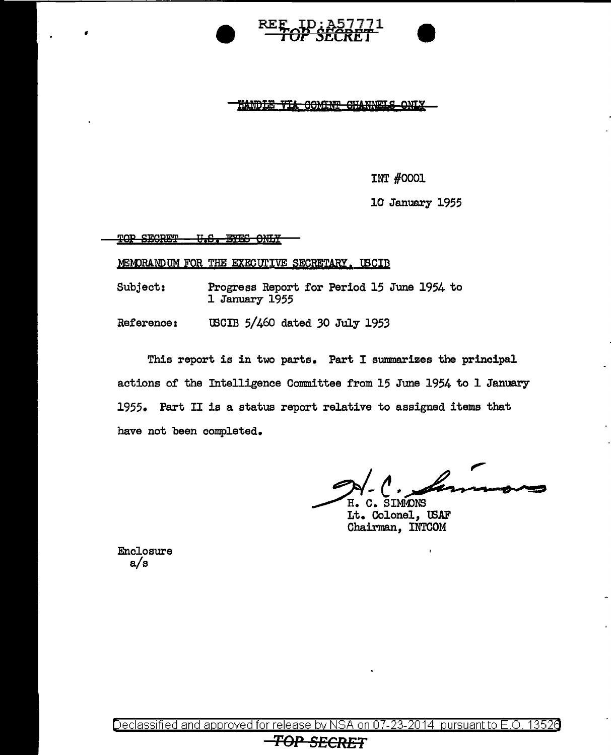



<u>HANDIE VIA OOMINT CHANNELS ONLY</u>

INT #0001

10 January 1955

TOP SECRET - U.S. EYES ONLY

•

MEMORANDUM FOR THE EXECUTIVE SECRETARY. LSCIB

Subject: Progress Report for Period 15 June 1954 to 1 January 1955

Reference: USCIB 5/460 dated 30 July 1953

This report is in two parts. Part I summarizes the principal actions of the Intelligence Committee from 15 June 1954 to 1 January 1955. Part II is a status report relative to assigned items that have not been completed.

,,  $M - C$ . , formons

Lt. Colonel, U3AF Chairman, INTCOM

Enclosure a/s

Declassified and approved for release by NSA on 07-23-2014 pursuant to E.O. 13526

# **TOP SECRET**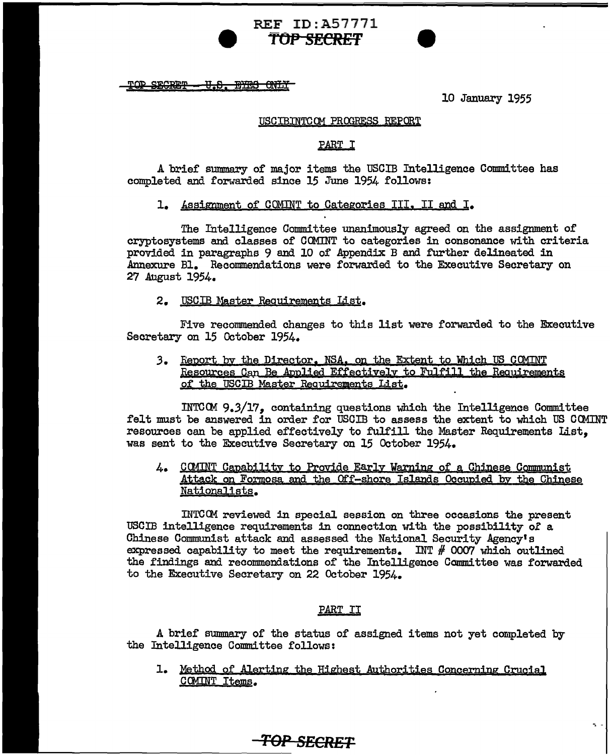TOP SECRET - U.S. BYES ONLY

10 January 1955

-. -

#### USCIBINTCOM PROGRESS REPORT

## PART I

A brief summary of major items the USCIB Intelligence Committee has completed and forwarded since 15 June 1954 follows:

1. kssignment of CQMINT to Categories III, II and I.

REF ID:A57771 **9 TOP SECRET** 

The Intelligence Committee unanimously agreed on the assignment of cryptosystems and classes of COMINT to categories in consonance with criteria provided in paragraphs 9 and 10 of Appendix B and further delineated in Annexure Bl. Recommendations were forwarded to the Executive Secretary on 27 August 1954.

2. USCIB Master Requirements List.

Five recommended changes to this list were forwarded to the Executive Secretary on 15 October 1954.

3. Report by the Director, NSA, on the Extent to Which US COMINT Resources Can Be Applied Effectively to Fulfill the Requirements of the USCIB Master Requirements List.

INTCCM 9.3/17, containing questions which the Intelligence Committee felt must be answered in order for USCIB to assess the extent to which US COMINT resources can be applied effectively to fulfill the Master Requirements List, was sent to the Executive Secretary on 15 October 1954.

4. COMINT Capability to Provide Early Warning of a Chinese Communist Attack on Formosa and the Off-shore Islands Occupied by the Chinese Nationalists.

INTCCM reviewed in special session on three occasions the present USCIB intelligence requirements in connection with the possibility *ol* a Chinese Communist attack and assessed the National Security Agency's expressed capability to meet the requirements. INT  $#$  0007 which outlined the findings and recommendations of the Intelligence Committee was forwarded to the Executive Secretary on 22 October 1954.

#### PART II

A brief summary of the status of assigned items not yet completed by the Intelligence Committee follows:

1. Method of Alerting the Highest Authorities Concerning Crucial COMINT Items.

*TOP SECRET*